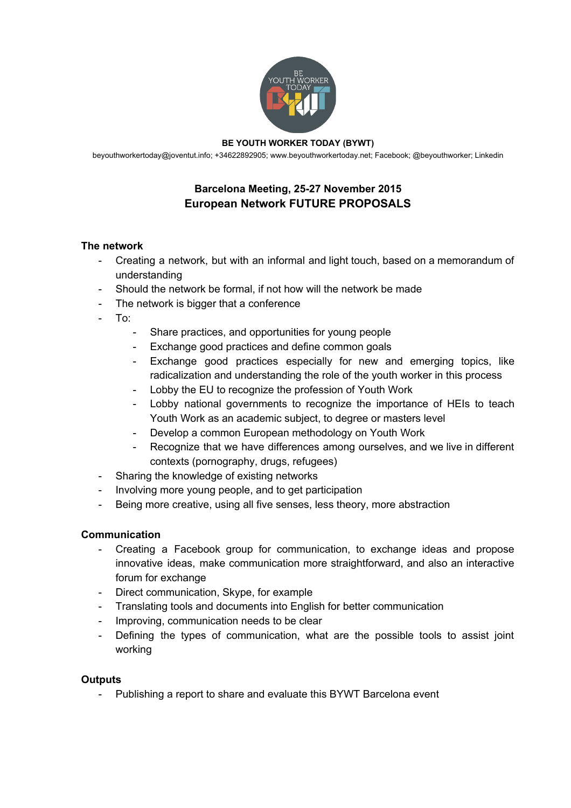

#### **BE YOUTH WORKER TODAY (BYWT)**

[beyouthworkertoday@joventut.info;](mailto:beyouthworkertoday@joventut.info) +34622892905; [www.beyouthworkertoday.net;](http://www.beyouthworkertoday.net/) [Facebook;](http://www.facebook.com/beyouthworkertoday) @beyouthworker; [Linkedin](https://www.linkedin.com/grps/Be-Youth-Worker-Today-BYWT-8413671/about?)

# **Barcelona Meeting, 2527 November 2015 European Network FUTURE PROPOSALS**

### **The network**

- Creating a network, but with an informal and light touch, based on a memorandum of understanding
- Should the network be formal, if not how will the network be made
- The network is bigger that a conference
- To:
	- Share practices, and opportunities for young people
	- Exchange good practices and define common goals
	- Exchange good practices especially for new and emerging topics, like radicalization and understanding the role of the youth worker in this process
	- Lobby the EU to recognize the profession of Youth Work
	- Lobby national governments to recognize the importance of HEIs to teach Youth Work as an academic subject, to degree or masters level
	- Develop a common European methodology on Youth Work
	- Recognize that we have differences among ourselves, and we live in different contexts (pornography, drugs, refugees)
- Sharing the knowledge of existing networks
- Involving more young people, and to get participation
- Being more creative, using all five senses, less theory, more abstraction

### **Communication**

- Creating a Facebook group for communication, to exchange ideas and propose innovative ideas, make communication more straightforward, and also an interactive forum for exchange
- Direct communication, Skype, for example
- Translating tools and documents into English for better communication
- Improving, communication needs to be clear
- Defining the types of communication, what are the possible tools to assist joint working

### **Outputs**

Publishing a report to share and evaluate this BYWT Barcelona event